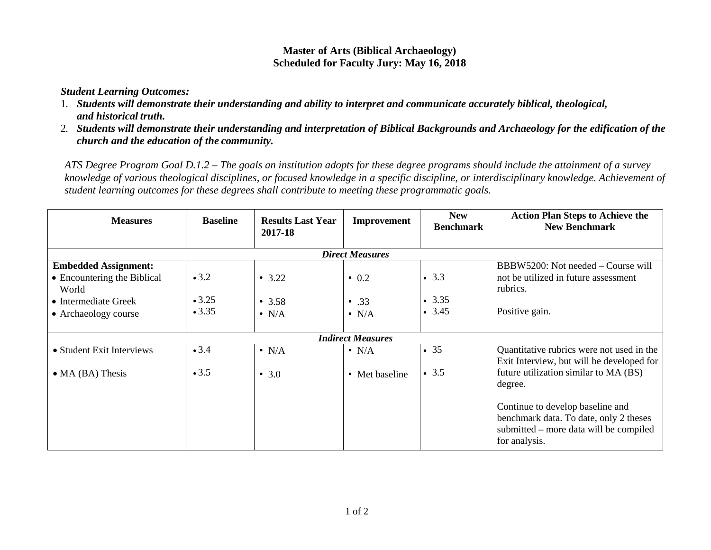## **Master of Arts (Biblical Archaeology) Scheduled for Faculty Jury: May 16, 2018**

*Student Learning Outcomes:*

- 1. *Students will demonstrate their understanding and ability to interpret and communicate accurately biblical, theological, and historical truth.*
- 2. *Students will demonstrate their understanding and interpretation of Biblical Backgrounds and Archaeology for the edification of the church and the education of the community.*

*ATS Degree Program Goal D.1.2 – The goals an institution adopts for these degree programs should include the attainment of a survey knowledge of various theological disciplines, or focused knowledge in a specific discipline, or interdisciplinary knowledge. Achievement of student learning outcomes for these degrees shall contribute to meeting these programmatic goals.*

| <b>Measures</b>                      | <b>Baseline</b> | <b>Results Last Year</b> | Improvement    | <b>New</b><br><b>Benchmark</b> | <b>Action Plan Steps to Achieve the</b><br><b>New Benchmark</b>                                                                       |  |  |  |
|--------------------------------------|-----------------|--------------------------|----------------|--------------------------------|---------------------------------------------------------------------------------------------------------------------------------------|--|--|--|
|                                      |                 | 2017-18                  |                |                                |                                                                                                                                       |  |  |  |
| <b>Direct Measures</b>               |                 |                          |                |                                |                                                                                                                                       |  |  |  |
| <b>Embedded Assignment:</b>          |                 |                          |                |                                | BBBW5200: Not needed – Course will                                                                                                    |  |  |  |
| • Encountering the Biblical<br>World | $\cdot 3.2$     | • $3.22$                 | $\bullet$ 0.2  | • 3.3                          | not be utilized in future assessment<br>rubrics.                                                                                      |  |  |  |
| • Intermediate Greek                 | $\cdot 3.25$    | • $3.58$                 | $\bullet$ .33  | • 3.35                         |                                                                                                                                       |  |  |  |
| • Archaeology course                 | • 3.35          | $\bullet$ N/A            | $\bullet$ N/A  | $-3.45$                        | Positive gain.                                                                                                                        |  |  |  |
| <b>Indirect Measures</b>             |                 |                          |                |                                |                                                                                                                                       |  |  |  |
| • Student Exit Interviews            | $\cdot 3.4$     | $\bullet$ N/A            | $\bullet$ N/A  | • 35                           | Quantitative rubrics were not used in the<br>Exit Interview, but will be developed for                                                |  |  |  |
| $\bullet$ MA (BA) Thesis             | $\cdot 3.5$     | • $3.0$                  | • Met baseline | • 3.5                          | future utilization similar to MA (BS)<br>degree.                                                                                      |  |  |  |
|                                      |                 |                          |                |                                | Continue to develop baseline and<br>benchmark data. To date, only 2 theses<br>submitted – more data will be compiled<br>for analysis. |  |  |  |